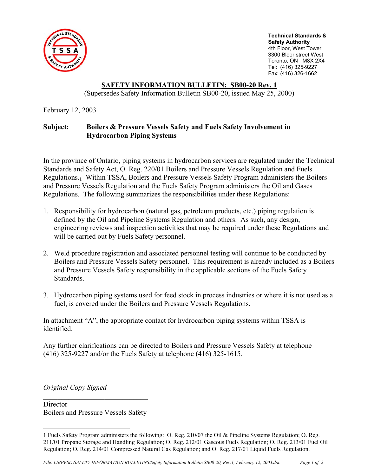

**Technical Standards & Safety Authority**  4th Floor, West Tower 3300 Bloor street West Toronto, ON M8X 2X4 Tel: (416) 325-9227 Fax: (416) 326-1662

## **SAFETY INFORMATION BULLETIN: SB00-20 Rev. 1**

(Supersedes Safety Information Bulletin SB00-20, issued May 25, 2000)

February 12, 2003

## **Subject: Boilers & Pressure Vessels Safety and Fuels Safety Involvement in Hydrocarbon Piping Systems**

In the province of Ontario, piping systems in hydrocarbon services are regulated under the Technical Standards and Safety Act, O. Reg. 220/01 Boilers and Pressure Vessels Regulation and Fuels Regulations.**1** Within TSSA, Boilers and Pressure Vessels Safety Program administers the Boilers and Pressure Vessels Regulation and the Fuels Safety Program administers the Oil and Gases Regulations. The following summarizes the responsibilities under these Regulations:

- 1. Responsibility for hydrocarbon (natural gas, petroleum products, etc.) piping regulation is defined by the Oil and Pipeline Systems Regulation and others. As such, any design, engineering reviews and inspection activities that may be required under these Regulations and will be carried out by Fuels Safety personnel.
- 2. Weld procedure registration and associated personnel testing will continue to be conducted by Boilers and Pressure Vessels Safety personnel. This requirement is already included as a Boilers and Pressure Vessels Safety responsibility in the applicable sections of the Fuels Safety Standards.
- 3. Hydrocarbon piping systems used for feed stock in process industries or where it is not used as a fuel, is covered under the Boilers and Pressure Vessels Regulations.

In attachment "A", the appropriate contact for hydrocarbon piping systems within TSSA is identified.

Any further clarifications can be directed to Boilers and Pressure Vessels Safety at telephone (416) 325-9227 and/or the Fuels Safety at telephone (416) 325-1615.

*Original Copy Signed* 

1

**Director** Boilers and Pressure Vessels Safety

<sup>1</sup> Fuels Safety Program administers the following: O. Reg. 210/07 the Oil & Pipeline Systems Regulation; O. Reg. 211/01 Propane Storage and Handling Regulation; O. Reg. 212/01 Gaseous Fuels Regulation; O. Reg. 213/01 Fuel Oil Regulation; O. Reg. 214/01 Compressed Natural Gas Regulation; and O. Reg. 217/01 Liquid Fuels Regulation.